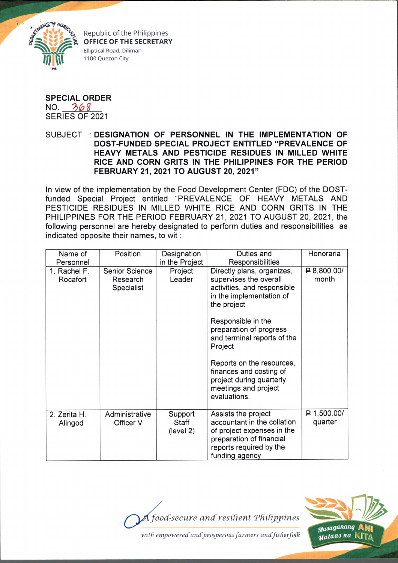

Republic of the Philippines **OFFICE OF THE SECRETARY** Elliptical Road, Diliman 1100 Quezon City

## **SPECIAL ORDER**

 $NO. 368$ SERIES OF 2021

SUBJECT : **DESIGNATION OF PERSONNEL IN THE IMPLEMENTATION OF DOST-FUNDED SPECIAL PROJECT ENTITLED "PREVALENCE OF HEAVY METALS AND PESTICIDE RESIDUES IN MILLED WHITE RICE AND CORN GRITS IN THE PHILIPPINES FOR THE PERIOD FEBRUARY 21, 2021 TO AUGUST 20, 2021"**

In view of the implementation by the Food Development Center (FDC) of the DOSTfunded Special Project entitled "PREVALENCE OF HEAVY METALS AND PESTICIDE RESIDUES IN MILLED WHITE RICE AND CORN GRITS IN THE PHILIPPINES FOR THE PERIOD FEBRUARY 21, 2021 TO AUGUST 20, 2021, the following personnel are hereby designated to perform duties and responsibilities as indicated opposite their names, to wit:

| Name of                 | Position                    | Designation                   | Duties and                                                                                                                                                | Honoraria              |
|-------------------------|-----------------------------|-------------------------------|-----------------------------------------------------------------------------------------------------------------------------------------------------------|------------------------|
| Personnel               |                             | in the Project                | Responsibilities                                                                                                                                          |                        |
| 1. Rachel F.            | <b>Senior Science</b>       | Project                       | Directly plans, organizes,                                                                                                                                | P.800.00/              |
| Rocafort                | Research                    | Leader                        | supervises the overall                                                                                                                                    | month                  |
|                         | Specialist                  |                               | activities, and responsible                                                                                                                               |                        |
|                         |                             |                               | in the implementation of                                                                                                                                  |                        |
|                         |                             |                               | the project                                                                                                                                               |                        |
|                         |                             |                               | Responsible in the<br>preparation of progress<br>and terminal reports of the<br>Project                                                                   |                        |
|                         |                             |                               | Reports on the resources,<br>finances and costing of<br>project during quarterly<br>meetings and project<br>evaluations.                                  |                        |
| 2. Zerita H.<br>Alingod | Administrative<br>Officer V | Support<br>Staff<br>(level 2) | Assists the project<br>accountant in the collation<br>of project expenses in the<br>preparation of financial<br>reports required by the<br>funding agency | P 1,500.00/<br>quarter |





with empowered and prosperous farmers and fisherfolk